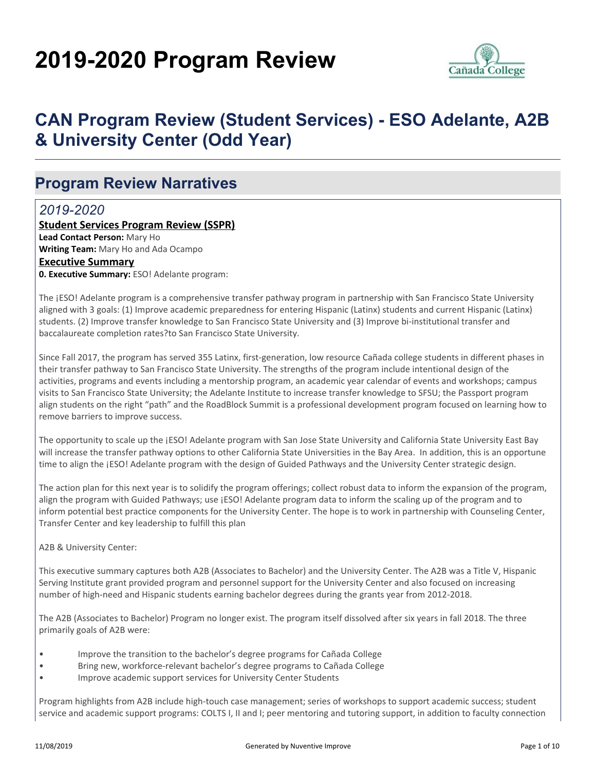# **2019-2020 Program Review**



# **CAN Program Review (Student Services) - ESO Adelante, A2B & University Center (Odd Year)**

### **Program Review Narratives**

### *2019-2020*

**Student Services Program Review (SSPR) Lead Contact Person:** Mary Ho **Writing Team:** Mary Ho and Ada Ocampo **Executive Summary 0. Executive Summary:** ESO! Adelante program:

The ¡ESO! Adelante program is a comprehensive transfer pathway program in partnership with San Francisco State University aligned with 3 goals: (1) Improve academic preparedness for entering Hispanic (Latinx) students and current Hispanic (Latinx) students. (2) Improve transfer knowledge to San Francisco State University and (3) Improve bi-institutional transfer and baccalaureate completion rates?to San Francisco State University.

Since Fall 2017, the program has served 355 Latinx, first-generation, low resource Cañada college students in different phases in their transfer pathway to San Francisco State University. The strengths of the program include intentional design of the activities, programs and events including a mentorship program, an academic year calendar of events and workshops; campus visits to San Francisco State University; the Adelante Institute to increase transfer knowledge to SFSU; the Passport program align students on the right "path" and the RoadBlock Summit is a professional development program focused on learning how to remove barriers to improve success.

The opportunity to scale up the ¡ESO! Adelante program with San Jose State University and California State University East Bay will increase the transfer pathway options to other California State Universities in the Bay Area. In addition, this is an opportune time to align the ¡ESO! Adelante program with the design of Guided Pathways and the University Center strategic design.

The action plan for this next year is to solidify the program offerings; collect robust data to inform the expansion of the program, align the program with Guided Pathways; use [ESO! Adelante program data to inform the scaling up of the program and to inform potential best practice components for the University Center. The hope is to work in partnership with Counseling Center, Transfer Center and key leadership to fulfill this plan

#### A2B & University Center:

This executive summary captures both A2B (Associates to Bachelor) and the University Center. The A2B was a Title V, Hispanic Serving Institute grant provided program and personnel support for the University Center and also focused on increasing number of high-need and Hispanic students earning bachelor degrees during the grants year from 2012-2018.

The A2B (Associates to Bachelor) Program no longer exist. The program itself dissolved after six years in fall 2018. The three primarily goals of A2B were:

- Improve the transition to the bachelor's degree programs for Cañada College
- Bring new, workforce-relevant bachelor's degree programs to Cañada College
- Improve academic support services for University Center Students

Program highlights from A2B include high-touch case management; series of workshops to support academic success; student service and academic support programs: COLTS I, II and I; peer mentoring and tutoring support, in addition to faculty connection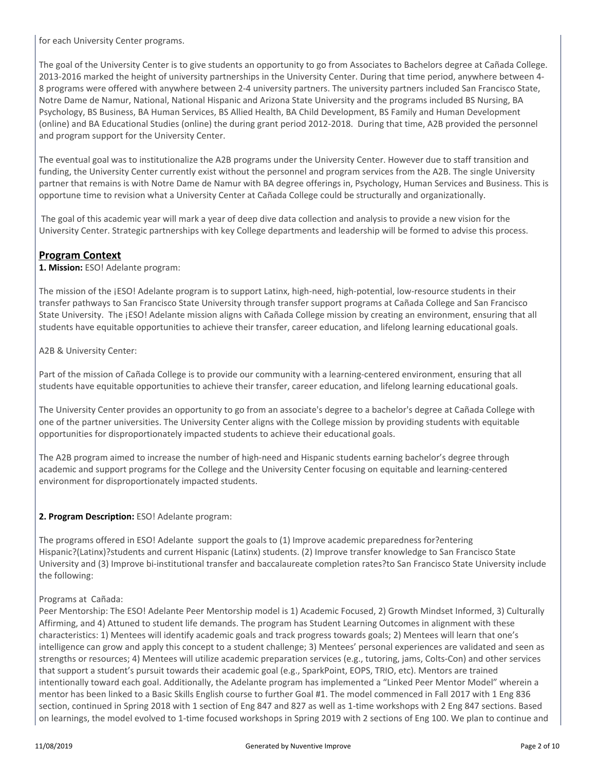for each University Center programs.

The goal of the University Center is to give students an opportunity to go from Associates to Bachelors degree at Cañada College. 2013-2016 marked the height of university partnerships in the University Center. During that time period, anywhere between 4- 8 programs were offered with anywhere between 2-4 university partners. The university partners included San Francisco State, Notre Dame de Namur, National, National Hispanic and Arizona State University and the programs included BS Nursing, BA Psychology, BS Business, BA Human Services, BS Allied Health, BA Child Development, BS Family and Human Development (online) and BA Educational Studies (online) the during grant period 2012-2018. During that time, A2B provided the personnel and program support for the University Center.

The eventual goal was to institutionalize the A2B programs under the University Center. However due to staff transition and funding, the University Center currently exist without the personnel and program services from the A2B. The single University partner that remains is with Notre Dame de Namur with BA degree offerings in, Psychology, Human Services and Business. This is opportune time to revision what a University Center at Cañada College could be structurally and organizationally.

 The goal of this academic year will mark a year of deep dive data collection and analysis to provide a new vision for the University Center. Strategic partnerships with key College departments and leadership will be formed to advise this process.

#### **Program Context**

**1. Mission:** ESO! Adelante program:

The mission of the ¡ESO! Adelante program is to support Latinx, high-need, high-potential, low-resource students in their transfer pathways to San Francisco State University through transfer support programs at Cañada College and San Francisco State University. The ¡ESO! Adelante mission aligns with Cañada College mission by creating an environment, ensuring that all students have equitable opportunities to achieve their transfer, career education, and lifelong learning educational goals.

A2B & University Center:

Part of the mission of Cañada College is to provide our community with a learning-centered environment, ensuring that all students have equitable opportunities to achieve their transfer, career education, and lifelong learning educational goals.

The University Center provides an opportunity to go from an associate's degree to a bachelor's degree at Cañada College with one of the partner universities. The University Center aligns with the College mission by providing students with equitable opportunities for disproportionately impacted students to achieve their educational goals.

The A2B program aimed to increase the number of high-need and Hispanic students earning bachelor's degree through academic and support programs for the College and the University Center focusing on equitable and learning-centered environment for disproportionately impacted students.

#### **2. Program Description:** ESO! Adelante program:

The programs offered in ESO! Adelante support the goals to (1) Improve academic preparedness for?entering Hispanic?(Latinx)?students and current Hispanic (Latinx) students. (2) Improve transfer knowledge to San Francisco State University and (3) Improve bi-institutional transfer and baccalaureate completion rates?to San Francisco State University include the following:

#### Programs at Cañada:

Peer Mentorship: The ESO! Adelante Peer Mentorship model is 1) Academic Focused, 2) Growth Mindset Informed, 3) Culturally Affirming, and 4) Attuned to student life demands. The program has Student Learning Outcomes in alignment with these characteristics: 1) Mentees will identify academic goals and track progress towards goals; 2) Mentees will learn that one's intelligence can grow and apply this concept to a student challenge; 3) Mentees' personal experiences are validated and seen as strengths or resources; 4) Mentees will utilize academic preparation services (e.g., tutoring, jams, Colts-Con) and other services that support a student's pursuit towards their academic goal (e.g., SparkPoint, EOPS, TRIO, etc). Mentors are trained intentionally toward each goal. Additionally, the Adelante program has implemented a "Linked Peer Mentor Model" wherein a mentor has been linked to a Basic Skills English course to further Goal #1. The model commenced in Fall 2017 with 1 Eng 836 section, continued in Spring 2018 with 1 section of Eng 847 and 827 as well as 1-time workshops with 2 Eng 847 sections. Based on learnings, the model evolved to 1-time focused workshops in Spring 2019 with 2 sections of Eng 100. We plan to continue and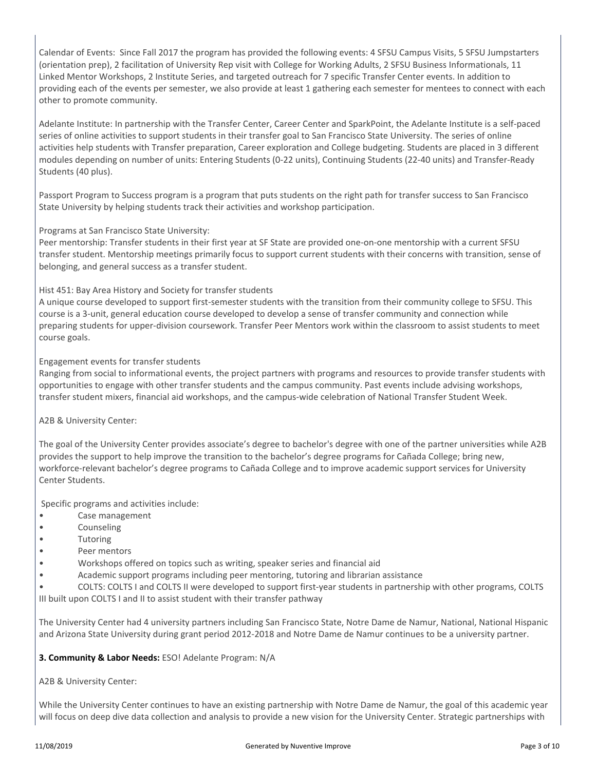Calendar of Events: Since Fall 2017 the program has provided the following events: 4 SFSU Campus Visits, 5 SFSU Jumpstarters (orientation prep), 2 facilitation of University Rep visit with College for Working Adults, 2 SFSU Business Informationals, 11 Linked Mentor Workshops, 2 Institute Series, and targeted outreach for 7 specific Transfer Center events. In addition to providing each of the events per semester, we also provide at least 1 gathering each semester for mentees to connect with each other to promote community.

Adelante Institute: In partnership with the Transfer Center, Career Center and SparkPoint, the Adelante Institute is a self-paced series of online activities to support students in their transfer goal to San Francisco State University. The series of online activities help students with Transfer preparation, Career exploration and College budgeting. Students are placed in 3 different modules depending on number of units: Entering Students (0-22 units), Continuing Students (22-40 units) and Transfer-Ready Students (40 plus).

Passport Program to Success program is a program that puts students on the right path for transfer success to San Francisco State University by helping students track their activities and workshop participation.

Programs at San Francisco State University:

Peer mentorship: Transfer students in their first year at SF State are provided one-on-one mentorship with a current SFSU transfer student. Mentorship meetings primarily focus to support current students with their concerns with transition, sense of belonging, and general success as a transfer student.

#### Hist 451: Bay Area History and Society for transfer students

A unique course developed to support first-semester students with the transition from their community college to SFSU. This course is a 3-unit, general education course developed to develop a sense of transfer community and connection while preparing students for upper-division coursework. Transfer Peer Mentors work within the classroom to assist students to meet course goals.

#### Engagement events for transfer students

Ranging from social to informational events, the project partners with programs and resources to provide transfer students with opportunities to engage with other transfer students and the campus community. Past events include advising workshops, transfer student mixers, financial aid workshops, and the campus-wide celebration of National Transfer Student Week.

A2B & University Center:

The goal of the University Center provides associate's degree to bachelor's degree with one of the partner universities while A2B provides the support to help improve the transition to the bachelor's degree programs for Cañada College; bring new, workforce-relevant bachelor's degree programs to Cañada College and to improve academic support services for University Center Students.

Specific programs and activities include:

- Case management
- Counseling
- Tutoring
- Peer mentors
- Workshops offered on topics such as writing, speaker series and financial aid
- Academic support programs including peer mentoring, tutoring and librarian assistance
- COLTS: COLTS I and COLTS II were developed to support first-year students in partnership with other programs, COLTS

III built upon COLTS I and II to assist student with their transfer pathway

The University Center had 4 university partners including San Francisco State, Notre Dame de Namur, National, National Hispanic and Arizona State University during grant period 2012-2018 and Notre Dame de Namur continues to be a university partner.

#### **3. Community & Labor Needs:** ESO! Adelante Program: N/A

A2B & University Center:

While the University Center continues to have an existing partnership with Notre Dame de Namur, the goal of this academic year will focus on deep dive data collection and analysis to provide a new vision for the University Center. Strategic partnerships with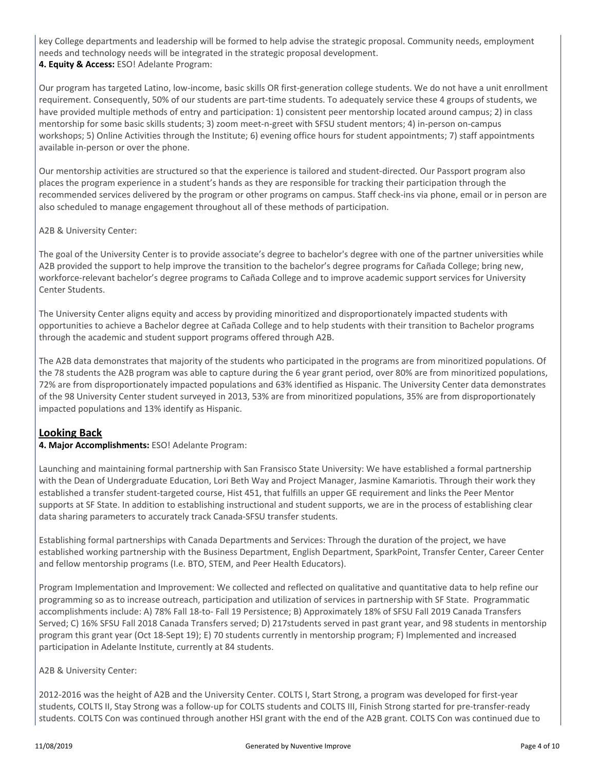key College departments and leadership will be formed to help advise the strategic proposal. Community needs, employment needs and technology needs will be integrated in the strategic proposal development. **4. Equity & Access:** ESO! Adelante Program:

Our program has targeted Latino, low-income, basic skills OR first-generation college students. We do not have a unit enrollment requirement. Consequently, 50% of our students are part-time students. To adequately service these 4 groups of students, we have provided multiple methods of entry and participation: 1) consistent peer mentorship located around campus; 2) in class mentorship for some basic skills students; 3) zoom meet-n-greet with SFSU student mentors; 4) in-person on-campus workshops; 5) Online Activities through the Institute; 6) evening office hours for student appointments; 7) staff appointments available in-person or over the phone.

Our mentorship activities are structured so that the experience is tailored and student-directed. Our Passport program also places the program experience in a student's hands as they are responsible for tracking their participation through the recommended services delivered by the program or other programs on campus. Staff check-ins via phone, email or in person are also scheduled to manage engagement throughout all of these methods of participation.

#### A2B & University Center:

The goal of the University Center is to provide associate's degree to bachelor's degree with one of the partner universities while A2B provided the support to help improve the transition to the bachelor's degree programs for Cañada College; bring new, workforce-relevant bachelor's degree programs to Cañada College and to improve academic support services for University Center Students.

The University Center aligns equity and access by providing minoritized and disproportionately impacted students with opportunities to achieve a Bachelor degree at Cañada College and to help students with their transition to Bachelor programs through the academic and student support programs offered through A2B.

The A2B data demonstrates that majority of the students who participated in the programs are from minoritized populations. Of the 78 students the A2B program was able to capture during the 6 year grant period, over 80% are from minoritized populations, 72% are from disproportionately impacted populations and 63% identified as Hispanic. The University Center data demonstrates of the 98 University Center student surveyed in 2013, 53% are from minoritized populations, 35% are from disproportionately impacted populations and 13% identify as Hispanic.

#### **Looking Back**

#### **4. Major Accomplishments:** ESO! Adelante Program:

Launching and maintaining formal partnership with San Fransisco State University: We have established a formal partnership with the Dean of Undergraduate Education, Lori Beth Way and Project Manager, Jasmine Kamariotis. Through their work they established a transfer student-targeted course, Hist 451, that fulfills an upper GE requirement and links the Peer Mentor supports at SF State. In addition to establishing instructional and student supports, we are in the process of establishing clear data sharing parameters to accurately track Canada-SFSU transfer students.

Establishing formal partnerships with Canada Departments and Services: Through the duration of the project, we have established working partnership with the Business Department, English Department, SparkPoint, Transfer Center, Career Center and fellow mentorship programs (I.e. BTO, STEM, and Peer Health Educators).

Program Implementation and Improvement: We collected and reflected on qualitative and quantitative data to help refine our programming so as to increase outreach, participation and utilization of services in partnership with SF State. Programmatic accomplishments include: A) 78% Fall 18-to- Fall 19 Persistence; B) Approximately 18% of SFSU Fall 2019 Canada Transfers Served; C) 16% SFSU Fall 2018 Canada Transfers served; D) 217students served in past grant year, and 98 students in mentorship program this grant year (Oct 18-Sept 19); E) 70 students currently in mentorship program; F) Implemented and increased participation in Adelante Institute, currently at 84 students.

#### A2B & University Center:

2012-2016 was the height of A2B and the University Center. COLTS I, Start Strong, a program was developed for first-year students, COLTS II, Stay Strong was a follow-up for COLTS students and COLTS III, Finish Strong started for pre-transfer-ready students. COLTS Con was continued through another HSI grant with the end of the A2B grant. COLTS Con was continued due to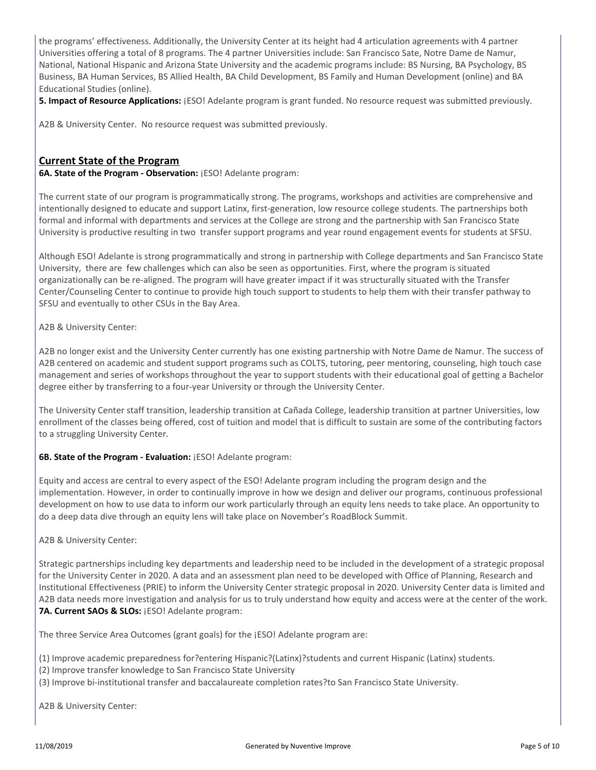the programs' effectiveness. Additionally, the University Center at its height had 4 articulation agreements with 4 partner Universities offering a total of 8 programs. The 4 partner Universities include: San Francisco Sate, Notre Dame de Namur, National, National Hispanic and Arizona State University and the academic programs include: BS Nursing, BA Psychology, BS Business, BA Human Services, BS Allied Health, BA Child Development, BS Family and Human Development (online) and BA Educational Studies (online).

**5. Impact of Resource Applications:**  $[ESO]$  Adelante program is grant funded. No resource request was submitted previously.

A2B & University Center. No resource request was submitted previously.

#### **Current State of the Program**

**6A. State of the Program - Observation:** ¡ESO! Adelante program:

The current state of our program is programmatically strong. The programs, workshops and activities are comprehensive and intentionally designed to educate and support Latinx, first-generation, low resource college students. The partnerships both formal and informal with departments and services at the College are strong and the partnership with San Francisco State University is productive resulting in two transfer support programs and year round engagement events for students at SFSU.

Although ESO! Adelante is strong programmatically and strong in partnership with College departments and San Francisco State University, there are few challenges which can also be seen as opportunities. First, where the program is situated organizationally can be re-aligned. The program will have greater impact if it was structurally situated with the Transfer Center/Counseling Center to continue to provide high touch support to students to help them with their transfer pathway to SFSU and eventually to other CSUs in the Bay Area.

A2B & University Center:

A2B no longer exist and the University Center currently has one existing partnership with Notre Dame de Namur. The success of A2B centered on academic and student support programs such as COLTS, tutoring, peer mentoring, counseling, high touch case management and series of workshops throughout the year to support students with their educational goal of getting a Bachelor degree either by transferring to a four-year University or through the University Center.

The University Center staff transition, leadership transition at Cañada College, leadership transition at partner Universities, low enrollment of the classes being offered, cost of tuition and model that is difficult to sustain are some of the contributing factors to a struggling University Center.

#### **6B. State of the Program - Evaluation:** ¡ESO! Adelante program:

Equity and access are central to every aspect of the ESO! Adelante program including the program design and the implementation. However, in order to continually improve in how we design and deliver our programs, continuous professional development on how to use data to inform our work particularly through an equity lens needs to take place. An opportunity to do a deep data dive through an equity lens will take place on November's RoadBlock Summit.

A2B & University Center:

Strategic partnerships including key departments and leadership need to be included in the development of a strategic proposal for the University Center in 2020. A data and an assessment plan need to be developed with Office of Planning, Research and Institutional Effectiveness (PRIE) to inform the University Center strategic proposal in 2020. University Center data is limited and A2B data needs more investigation and analysis for us to truly understand how equity and access were at the center of the work. 7A. Current SAOs & SLOs: *iESO! Adelante program:* 

The three Service Area Outcomes (grant goals) for the ¡ESO! Adelante program are:

(1) Improve academic preparedness for?entering Hispanic?(Latinx)?students and current Hispanic (Latinx) students.

- (2) Improve transfer knowledge to San Francisco State University
- (3) Improve bi-institutional transfer and baccalaureate completion rates?to San Francisco State University.

A2B & University Center: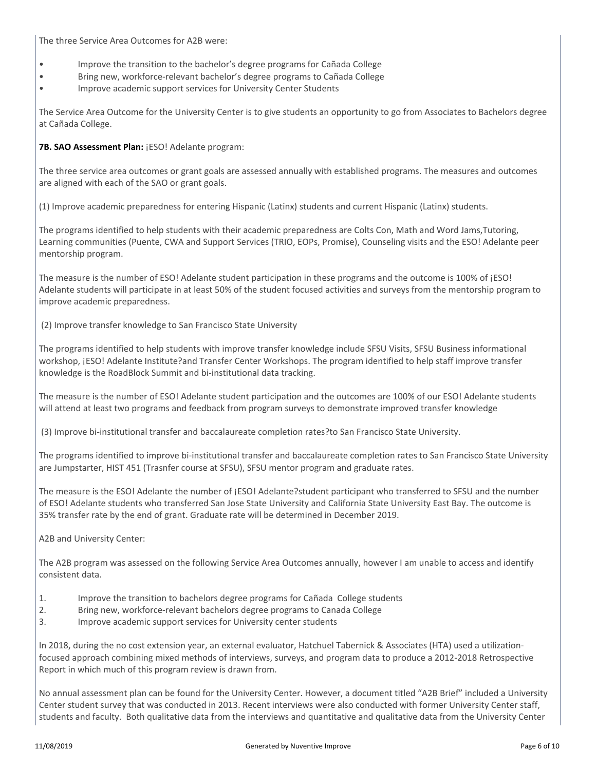The three Service Area Outcomes for A2B were:

- Improve the transition to the bachelor's degree programs for Cañada College
- Bring new, workforce-relevant bachelor's degree programs to Cañada College
- Improve academic support services for University Center Students

The Service Area Outcome for the University Center is to give students an opportunity to go from Associates to Bachelors degree at Cañada College.

7B. SAO Assessment Plan: ¡ESO! Adelante program:

The three service area outcomes or grant goals are assessed annually with established programs. The measures and outcomes are aligned with each of the SAO or grant goals.

(1) Improve academic preparedness for entering Hispanic (Latinx) students and current Hispanic (Latinx) students.

The programs identified to help students with their academic preparedness are Colts Con, Math and Word Jams,Tutoring, Learning communities (Puente, CWA and Support Services (TRIO, EOPs, Promise), Counseling visits and the ESO! Adelante peer mentorship program.

The measure is the number of ESO! Adelante student participation in these programs and the outcome is 100% of ¡ESO! Adelante students will participate in at least 50% of the student focused activities and surveys from the mentorship program to improve academic preparedness.

(2) Improve transfer knowledge to San Francisco State University

The programs identified to help students with improve transfer knowledge include SFSU Visits, SFSU Business informational workshop, ¡ESO! Adelante Institute?and Transfer Center Workshops. The program identified to help staff improve transfer knowledge is the RoadBlock Summit and bi-institutional data tracking.

The measure is the number of ESO! Adelante student participation and the outcomes are 100% of our ESO! Adelante students will attend at least two programs and feedback from program surveys to demonstrate improved transfer knowledge

(3) Improve bi-institutional transfer and baccalaureate completion rates?to San Francisco State University.

The programs identified to improve bi-institutional transfer and baccalaureate completion rates to San Francisco State University are Jumpstarter, HIST 451 (Trasnfer course at SFSU), SFSU mentor program and graduate rates.

The measure is the ESO! Adelante the number of ¡ESO! Adelante?student participant who transferred to SFSU and the number of ESO! Adelante students who transferred San Jose State University and California State University East Bay. The outcome is 35% transfer rate by the end of grant. Graduate rate will be determined in December 2019.

A2B and University Center:

The A2B program was assessed on the following Service Area Outcomes annually, however I am unable to access and identify consistent data.

- 1. Improve the transition to bachelors degree programs for Cañada College students
- 2. Bring new, workforce-relevant bachelors degree programs to Canada College
- 3. Improve academic support services for University center students

In 2018, during the no cost extension year, an external evaluator, Hatchuel Tabernick & Associates (HTA) used a utilizationfocused approach combining mixed methods of interviews, surveys, and program data to produce a 2012-2018 Retrospective Report in which much of this program review is drawn from.

No annual assessment plan can be found for the University Center. However, a document titled "A2B Brief" included a University Center student survey that was conducted in 2013. Recent interviews were also conducted with former University Center staff, students and faculty. Both qualitative data from the interviews and quantitative and qualitative data from the University Center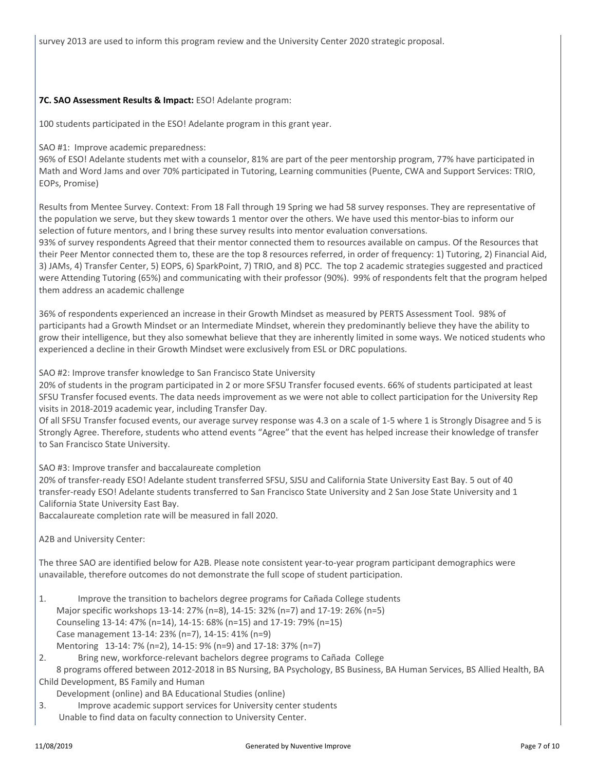survey 2013 are used to inform this program review and the University Center 2020 strategic proposal.

#### **7C. SAO Assessment Results & Impact:** ESO! Adelante program:

100 students participated in the ESO! Adelante program in this grant year.

#### SAO #1: Improve academic preparedness:

96% of ESO! Adelante students met with a counselor, 81% are part of the peer mentorship program, 77% have participated in Math and Word Jams and over 70% participated in Tutoring, Learning communities (Puente, CWA and Support Services: TRIO, EOPs, Promise)

Results from Mentee Survey. Context: From 18 Fall through 19 Spring we had 58 survey responses. They are representative of the population we serve, but they skew towards 1 mentor over the others. We have used this mentor-bias to inform our selection of future mentors, and I bring these survey results into mentor evaluation conversations.

93% of survey respondents Agreed that their mentor connected them to resources available on campus. Of the Resources that their Peer Mentor connected them to, these are the top 8 resources referred, in order of frequency: 1) Tutoring, 2) Financial Aid, 3) JAMs, 4) Transfer Center, 5) EOPS, 6) SparkPoint, 7) TRIO, and 8) PCC. The top 2 academic strategies suggested and practiced were Attending Tutoring (65%) and communicating with their professor (90%). 99% of respondents felt that the program helped them address an academic challenge

36% of respondents experienced an increase in their Growth Mindset as measured by PERTS Assessment Tool. 98% of participants had a Growth Mindset or an Intermediate Mindset, wherein they predominantly believe they have the ability to grow their intelligence, but they also somewhat believe that they are inherently limited in some ways. We noticed students who experienced a decline in their Growth Mindset were exclusively from ESL or DRC populations.

SAO #2: Improve transfer knowledge to San Francisco State University

20% of students in the program participated in 2 or more SFSU Transfer focused events. 66% of students participated at least SFSU Transfer focused events. The data needs improvement as we were not able to collect participation for the University Rep visits in 2018-2019 academic year, including Transfer Day.

Of all SFSU Transfer focused events, our average survey response was 4.3 on a scale of 1-5 where 1 is Strongly Disagree and 5 is Strongly Agree. Therefore, students who attend events "Agree" that the event has helped increase their knowledge of transfer to San Francisco State University.

SAO #3: Improve transfer and baccalaureate completion

20% of transfer-ready ESO! Adelante student transferred SFSU, SJSU and California State University East Bay. 5 out of 40 transfer-ready ESO! Adelante students transferred to San Francisco State University and 2 San Jose State University and 1 California State University East Bay.

Baccalaureate completion rate will be measured in fall 2020.

A2B and University Center:

The three SAO are identified below for A2B. Please note consistent year-to-year program participant demographics were unavailable, therefore outcomes do not demonstrate the full scope of student participation.

1. Improve the transition to bachelors degree programs for Cañada College students Major specific workshops 13-14: 27% (n=8), 14-15: 32% (n=7) and 17-19: 26% (n=5) Counseling 13-14: 47% (n=14), 14-15: 68% (n=15) and 17-19: 79% (n=15) Case management 13-14: 23% (n=7), 14-15: 41% (n=9) Mentoring 13-14: 7% (n=2), 14-15: 9% (n=9) and 17-18: 37% (n=7)

2. Bring new, workforce-relevant bachelors degree programs to Cañada College

 8 programs offered between 2012-2018 in BS Nursing, BA Psychology, BS Business, BA Human Services, BS Allied Health, BA Child Development, BS Family and Human

Development (online) and BA Educational Studies (online)

3. Improve academic support services for University center students Unable to find data on faculty connection to University Center.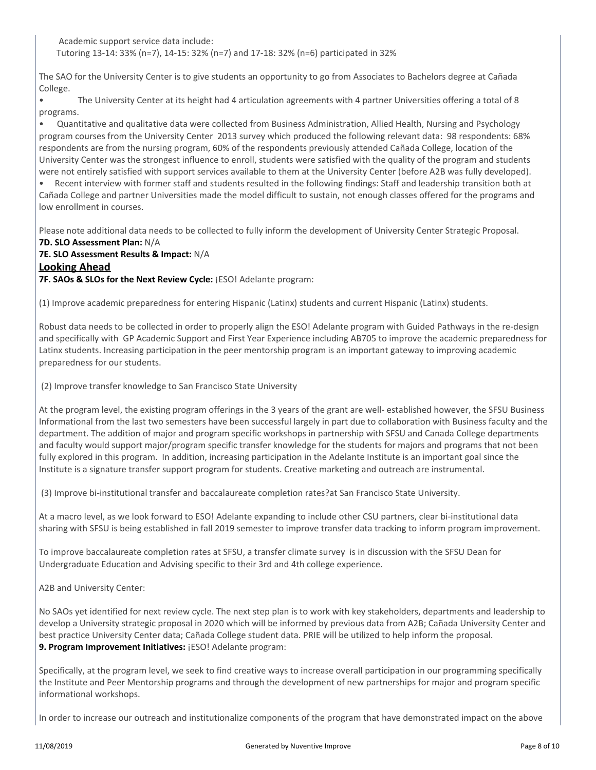Academic support service data include: Tutoring 13-14: 33% (n=7), 14-15: 32% (n=7) and 17-18: 32% (n=6) participated in 32%

The SAO for the University Center is to give students an opportunity to go from Associates to Bachelors degree at Cañada College.

• The University Center at its height had 4 articulation agreements with 4 partner Universities offering a total of 8 programs.

• Quantitative and qualitative data were collected from Business Administration, Allied Health, Nursing and Psychology program courses from the University Center 2013 survey which produced the following relevant data: 98 respondents: 68% respondents are from the nursing program, 60% of the respondents previously attended Cañada College, location of the University Center was the strongest influence to enroll, students were satisfied with the quality of the program and students were not entirely satisfied with support services available to them at the University Center (before A2B was fully developed).

• Recent interview with former staff and students resulted in the following findings: Staff and leadership transition both at Cañada College and partner Universities made the model difficult to sustain, not enough classes offered for the programs and low enrollment in courses.

Please note additional data needs to be collected to fully inform the development of University Center Strategic Proposal. **7D. SLO Assessment Plan:** N/A

### **7E. SLO Assessment Results & Impact:** N/A **Looking Ahead**

**7F. SAOs & SLOs for the Next Review Cycle:** ¡ESO! Adelante program:

(1) Improve academic preparedness for entering Hispanic (Latinx) students and current Hispanic (Latinx) students.

Robust data needs to be collected in order to properly align the ESO! Adelante program with Guided Pathways in the re-design and specifically with GP Academic Support and First Year Experience including AB705 to improve the academic preparedness for Latinx students. Increasing participation in the peer mentorship program is an important gateway to improving academic preparedness for our students.

(2) Improve transfer knowledge to San Francisco State University

At the program level, the existing program offerings in the 3 years of the grant are well- established however, the SFSU Business Informational from the last two semesters have been successful largely in part due to collaboration with Business faculty and the department. The addition of major and program specific workshops in partnership with SFSU and Canada College departments and faculty would support major/program specific transfer knowledge for the students for majors and programs that not been fully explored in this program. In addition, increasing participation in the Adelante Institute is an important goal since the Institute is a signature transfer support program for students. Creative marketing and outreach are instrumental.

(3) Improve bi-institutional transfer and baccalaureate completion rates?at San Francisco State University.

At a macro level, as we look forward to ESO! Adelante expanding to include other CSU partners, clear bi-institutional data sharing with SFSU is being established in fall 2019 semester to improve transfer data tracking to inform program improvement.

To improve baccalaureate completion rates at SFSU, a transfer climate survey is in discussion with the SFSU Dean for Undergraduate Education and Advising specific to their 3rd and 4th college experience.

A2B and University Center:

No SAOs yet identified for next review cycle. The next step plan is to work with key stakeholders, departments and leadership to develop a University strategic proposal in 2020 which will be informed by previous data from A2B; Cañada University Center and best practice University Center data; Cañada College student data. PRIE will be utilized to help inform the proposal. 9. Program Improvement Initiatives: ¡ESO! Adelante program:

Specifically, at the program level, we seek to find creative ways to increase overall participation in our programming specifically the Institute and Peer Mentorship programs and through the development of new partnerships for major and program specific informational workshops.

In order to increase our outreach and institutionalize components of the program that have demonstrated impact on the above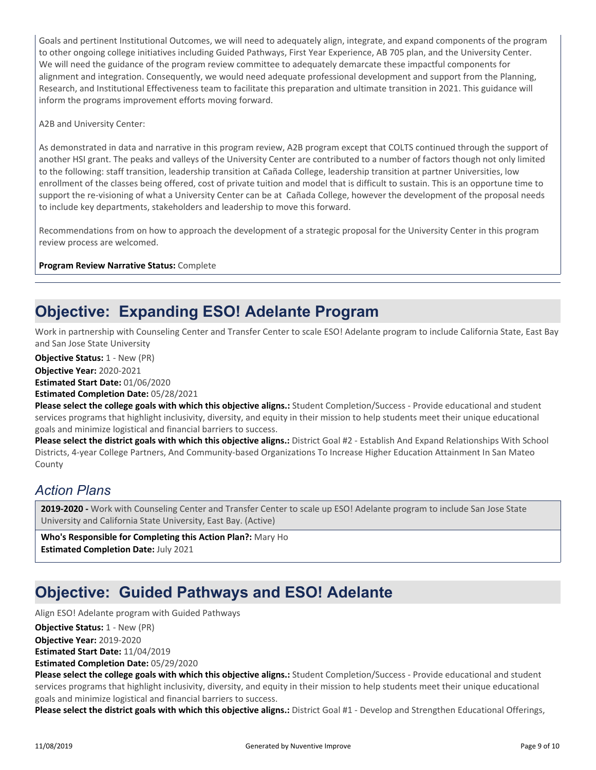Goals and pertinent Institutional Outcomes, we will need to adequately align, integrate, and expand components of the program to other ongoing college initiatives including Guided Pathways, First Year Experience, AB 705 plan, and the University Center. We will need the guidance of the program review committee to adequately demarcate these impactful components for alignment and integration. Consequently, we would need adequate professional development and support from the Planning, Research, and Institutional Effectiveness team to facilitate this preparation and ultimate transition in 2021. This guidance will inform the programs improvement efforts moving forward.

A2B and University Center:

As demonstrated in data and narrative in this program review, A2B program except that COLTS continued through the support of another HSI grant. The peaks and valleys of the University Center are contributed to a number of factors though not only limited to the following: staff transition, leadership transition at Cañada College, leadership transition at partner Universities, low enrollment of the classes being offered, cost of private tuition and model that is difficult to sustain. This is an opportune time to support the re-visioning of what a University Center can be at Cañada College, however the development of the proposal needs to include key departments, stakeholders and leadership to move this forward.

Recommendations from on how to approach the development of a strategic proposal for the University Center in this program review process are welcomed.

**Program Review Narrative Status:** Complete

### **Objective: Expanding ESO! Adelante Program**

Work in partnership with Counseling Center and Transfer Center to scale ESO! Adelante program to include California State, East Bay and San Jose State University

**Objective Status:** 1 - New (PR)

**Objective Year:** 2020-2021

**Estimated Start Date:** 01/06/2020

**Estimated Completion Date:** 05/28/2021

**Please select the college goals with which this objective aligns.:** Student Completion/Success - Provide educational and student services programs that highlight inclusivity, diversity, and equity in their mission to help students meet their unique educational goals and minimize logistical and financial barriers to success.

**Please select the district goals with which this objective aligns.:** District Goal #2 - Establish And Expand Relationships With School Districts, 4-year College Partners, And Community-based Organizations To Increase Higher Education Attainment In San Mateo County

### *Action Plans*

**2019-2020 -** Work with Counseling Center and Transfer Center to scale up ESO! Adelante program to include San Jose State University and California State University, East Bay. (Active)

**Who's Responsible for Completing this Action Plan?:** Mary Ho **Estimated Completion Date:** July 2021

# **Objective: Guided Pathways and ESO! Adelante**

Align ESO! Adelante program with Guided Pathways

**Objective Year:** 2019-2020 **Estimated Start Date:** 11/04/2019 **Objective Status: 1 - New (PR)** 

**Estimated Completion Date:** 05/29/2020

**Please select the college goals with which this objective aligns.:** Student Completion/Success - Provide educational and student services programs that highlight inclusivity, diversity, and equity in their mission to help students meet their unique educational goals and minimize logistical and financial barriers to success.

**Please select the district goals with which this objective aligns.:** District Goal #1 - Develop and Strengthen Educational Offerings,